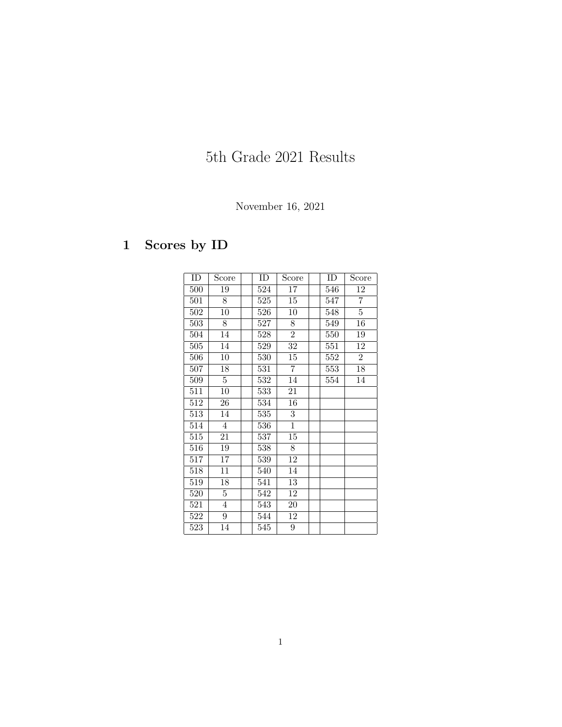# 5th Grade 2021 Results

### November 16, 2021

## 1 Scores by ID

| ID  | Score           | ID               | Score            | ID  | Score           |
|-----|-----------------|------------------|------------------|-----|-----------------|
| 500 | 19              | 524              | 17               | 546 | 12              |
| 501 | 8               | $\overline{525}$ | 15               | 547 | $\overline{7}$  |
| 502 | $\overline{10}$ | 526              | 10               | 548 | $\overline{5}$  |
| 503 | 8               | 527              | 8                | 549 | $\overline{16}$ |
| 504 | 14              | 528              | $\overline{2}$   | 550 | 19              |
| 505 | 14              | 529              | 32               | 551 | 12              |
| 506 | $\overline{10}$ | 530              | 15               | 552 | $\overline{2}$  |
| 507 | 18              | 531              | $\overline{7}$   | 553 | 18              |
| 509 | 5               | 532              | 14               | 554 | 14              |
| 511 | 10              | $\overline{533}$ | 21               |     |                 |
| 512 | 26              | 534              | 16               |     |                 |
| 513 | 14              | 535              | $\boldsymbol{3}$ |     |                 |
| 514 | $\overline{4}$  | 536              | $\overline{1}$   |     |                 |
| 515 | 21              | 537              | 15               |     |                 |
| 516 | 19              | 538              | 8                |     |                 |
| 517 | 17              | 539              | 12               |     |                 |
| 518 | 11              | 540              | 14               |     |                 |
| 519 | 18              | 541              | 13               |     |                 |
| 520 | 5               | 542              | 12               |     |                 |
| 521 | $\overline{4}$  | 543              | 20               |     |                 |
| 522 | $9\phantom{.}$  | 544              | 12               |     |                 |
| 523 | 14              | 545              | $\overline{9}$   |     |                 |